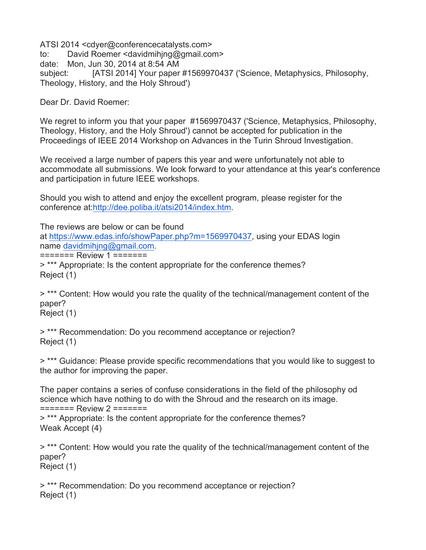ATSI 2014 <cdyer@conferencecatalysts.com> to: David Roemer <davidmihjng@gmail.com> date: Mon, Jun 30, 2014 at 8:54 AM subject: [ATSI 2014] Your paper #1569970437 ('Science, Metaphysics, Philosophy, Theology, History, and the Holy Shroud')

Dear Dr. David Roemer:

We regret to inform you that your paper #1569970437 ('Science, Metaphysics, Philosophy, Theology, History, and the Holy Shroud') cannot be accepted for publication in the Proceedings of IEEE 2014 Workshop on Advances in the Turin Shroud Investigation.

We received a large number of papers this year and were unfortunately not able to accommodate all submissions. We look forward to your attendance at this year's conference and participation in future IEEE workshops.

Should you wish to attend and enjoy the excellent program, please register for the conference at:http://dee.poliba.it/atsi2014/index.htm.

The reviews are below or can be found at https://www.edas.info/showPaper.php?m=1569970437, using your EDAS login name davidmihjng@gmail.com.

======= Review 1 =======

> \*\*\* Appropriate: Is the content appropriate for the conference themes? Reject (1)

> \*\*\* Content: How would you rate the quality of the technical/management content of the paper?

Reject (1)

> \*\*\* Recommendation: Do you recommend acceptance or rejection? Reject (1)

> \*\*\* Guidance: Please provide specific recommendations that you would like to suggest to the author for improving the paper.

The paper contains a series of confuse considerations in the field of the philosophy od science which have nothing to do with the Shroud and the research on its image. ======= Review 2 =======

> \*\*\* Appropriate: Is the content appropriate for the conference themes? Weak Accept (4)

> \*\*\* Content: How would you rate the quality of the technical/management content of the paper? Reject (1)

> \*\*\* Recommendation: Do you recommend acceptance or rejection? Reject (1)